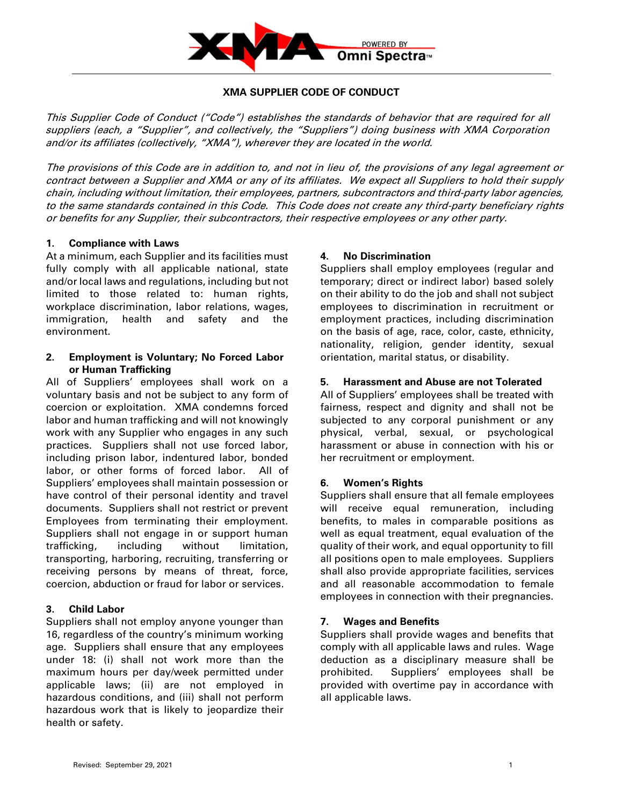

# **XMA SUPPLIER CODE OF CONDUCT**

This Supplier Code of Conduct ("Code") establishes the standards of behavior that are required for all suppliers (each, a "Supplier", and collectively, the "Suppliers") doing business with XMA Corporation and/or its affiliates (collectively, "XMA"), wherever they are located in the world.

The provisions of this Code are in addition to, and not in lieu of, the provisions of any legal agreement or contract between a Supplier and XMA or any of its affiliates. We expect all Suppliers to hold their supply chain, including without limitation, their employees, partners, subcontractors and third-party labor agencies, to the same standards contained in this Code. This Code does not create any third-party beneficiary rights or benefits for any Supplier, their subcontractors, their respective employees or any other party.

#### **1. Compliance with Laws**

At a minimum, each Supplier and its facilities must fully comply with all applicable national, state and/or local laws and regulations, including but not limited to those related to: human rights, workplace discrimination, labor relations, wages, immigration, health and safety and the environment.

#### **2. Employment is Voluntary; No Forced Labor or Human Trafficking**

All of Suppliers' employees shall work on a voluntary basis and not be subject to any form of coercion or exploitation. XMA condemns forced labor and human trafficking and will not knowingly work with any Supplier who engages in any such practices. Suppliers shall not use forced labor, including prison labor, indentured labor, bonded labor, or other forms of forced labor. All of Suppliers' employees shall maintain possession or have control of their personal identity and travel documents. Suppliers shall not restrict or prevent Employees from terminating their employment. Suppliers shall not engage in or support human trafficking, including without limitation, transporting, harboring, recruiting, transferring or receiving persons by means of threat, force, coercion, abduction or fraud for labor or services.

# **3. Child Labor**

Suppliers shall not employ anyone younger than 16, regardless of the country's minimum working age. Suppliers shall ensure that any employees under 18: (i) shall not work more than the maximum hours per day/week permitted under applicable laws; (ii) are not employed in hazardous conditions, and (iii) shall not perform hazardous work that is likely to jeopardize their health or safety.

### **4. No Discrimination**

Suppliers shall employ employees (regular and temporary; direct or indirect labor) based solely on their ability to do the job and shall not subject employees to discrimination in recruitment or employment practices, including discrimination on the basis of age, race, color, caste, ethnicity, nationality, religion, gender identity, sexual orientation, marital status, or disability.

### **5. Harassment and Abuse are not Tolerated**

All of Suppliers' employees shall be treated with fairness, respect and dignity and shall not be subjected to any corporal punishment or any physical, verbal, sexual, or psychological harassment or abuse in connection with his or her recruitment or employment.

# **6. Women's Rights**

Suppliers shall ensure that all female employees will receive equal remuneration, including benefits, to males in comparable positions as well as equal treatment, equal evaluation of the quality of their work, and equal opportunity to fill all positions open to male employees. Suppliers shall also provide appropriate facilities, services and all reasonable accommodation to female employees in connection with their pregnancies.

# **7. Wages and Benefits**

Suppliers shall provide wages and benefits that comply with all applicable laws and rules. Wage deduction as a disciplinary measure shall be prohibited. Suppliers' employees shall be provided with overtime pay in accordance with all applicable laws.